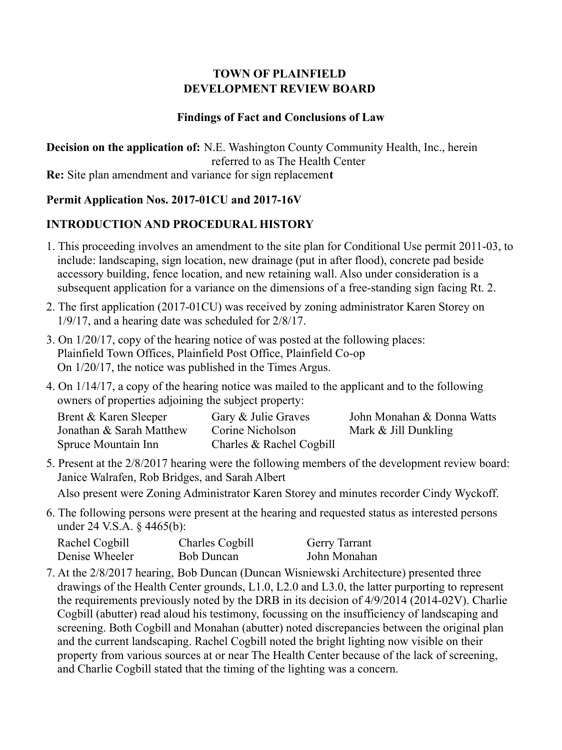#### **TOWN OF PLAINFIELD DEVELOPMENT REVIEW BOARD**

#### **Findings of Fact and Conclusions of Law**

**Decision on the application of:** N.E. Washington County Community Health, Inc., herein referred to as The Health Center **Re:** Site plan amendment and variance for sign replacemen**t**

#### **Permit Application Nos. 2017-01CU and 2017-16V**

# **INTRODUCTION AND PROCEDURAL HISTORY**

- 1. This proceeding involves an amendment to the site plan for Conditional Use permit 2011-03, to include: landscaping, sign location, new drainage (put in after flood), concrete pad beside accessory building, fence location, and new retaining wall. Also under consideration is a subsequent application for a variance on the dimensions of a free-standing sign facing Rt. 2.
- 2. The first application (2017-01CU) was received by zoning administrator Karen Storey on 1/9/17, and a hearing date was scheduled for 2/8/17.
- 3. On 1/20/17, copy of the hearing notice of was posted at the following places: Plainfield Town Offices, Plainfield Post Office, Plainfield Co-op On 1/20/17, the notice was published in the Times Argus.
- 4. On 1/14/17, a copy of the hearing notice was mailed to the applicant and to the following owners of properties adjoining the subject property:

| Brent & Karen Sleeper    | Gary & Julie Graves      | John Monahan & Donna Watts |
|--------------------------|--------------------------|----------------------------|
| Jonathan & Sarah Matthew | Corine Nicholson         | Mark & Jill Dunkling       |
| Spruce Mountain Inn      | Charles & Rachel Cogbill |                            |

5. Present at the 2/8/2017 hearing were the following members of the development review board: Janice Walrafen, Rob Bridges, and Sarah Albert

Also present were Zoning Administrator Karen Storey and minutes recorder Cindy Wyckoff.

6. The following persons were present at the hearing and requested status as interested persons under 24 V.S.A. § 4465(b):

| Rachel Cogbill | Charles Cogbill   | <b>Gerry Tarrant</b> |
|----------------|-------------------|----------------------|
| Denise Wheeler | <b>Bob Duncan</b> | John Monahan         |

7. At the 2/8/2017 hearing, Bob Duncan (Duncan Wisniewski Architecture) presented three drawings of the Health Center grounds, L1.0, L2.0 and L3.0, the latter purporting to represent the requirements previously noted by the DRB in its decision of 4/9/2014 (2014-02V). Charlie Cogbill (abutter) read aloud his testimony, focussing on the insufficiency of landscaping and screening. Both Cogbill and Monahan (abutter) noted discrepancies between the original plan and the current landscaping. Rachel Cogbill noted the bright lighting now visible on their property from various sources at or near The Health Center because of the lack of screening, and Charlie Cogbill stated that the timing of the lighting was a concern.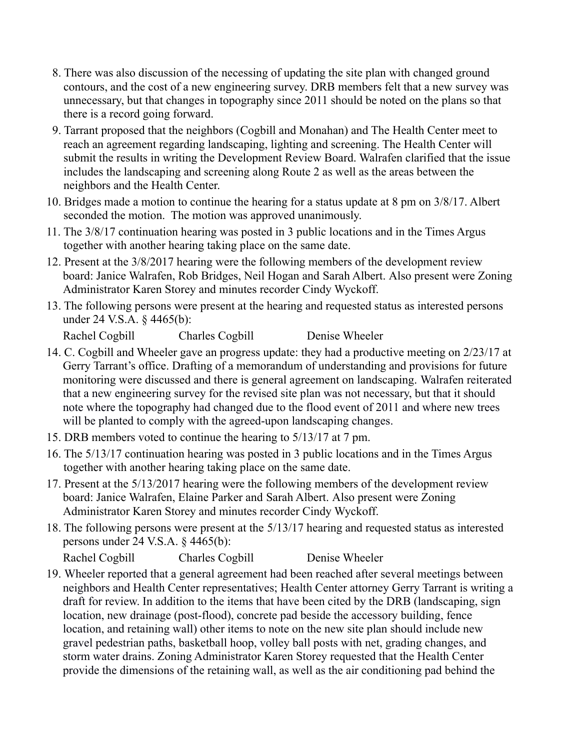- 8. There was also discussion of the necessing of updating the site plan with changed ground contours, and the cost of a new engineering survey. DRB members felt that a new survey was unnecessary, but that changes in topography since 2011 should be noted on the plans so that there is a record going forward.
- 9. Tarrant proposed that the neighbors (Cogbill and Monahan) and The Health Center meet to reach an agreement regarding landscaping, lighting and screening. The Health Center will submit the results in writing the Development Review Board. Walrafen clarified that the issue includes the landscaping and screening along Route 2 as well as the areas between the neighbors and the Health Center.
- 10. Bridges made a motion to continue the hearing for a status update at 8 pm on 3/8/17. Albert seconded the motion. The motion was approved unanimously.
- 11. The 3/8/17 continuation hearing was posted in 3 public locations and in the Times Argus together with another hearing taking place on the same date.
- 12. Present at the 3/8/2017 hearing were the following members of the development review board: Janice Walrafen, Rob Bridges, Neil Hogan and Sarah Albert. Also present were Zoning Administrator Karen Storey and minutes recorder Cindy Wyckoff.
- 13. The following persons were present at the hearing and requested status as interested persons under 24 V.S.A. § 4465(b):

Rachel Cogbill Charles Cogbill Denise Wheeler

- 14. C. Cogbill and Wheeler gave an progress update: they had a productive meeting on 2/23/17 at Gerry Tarrant's office. Drafting of a memorandum of understanding and provisions for future monitoring were discussed and there is general agreement on landscaping. Walrafen reiterated that a new engineering survey for the revised site plan was not necessary, but that it should note where the topography had changed due to the flood event of 2011 and where new trees will be planted to comply with the agreed-upon landscaping changes.
- 15. DRB members voted to continue the hearing to 5/13/17 at 7 pm.
- 16. The 5/13/17 continuation hearing was posted in 3 public locations and in the Times Argus together with another hearing taking place on the same date.
- 17. Present at the 5/13/2017 hearing were the following members of the development review board: Janice Walrafen, Elaine Parker and Sarah Albert. Also present were Zoning Administrator Karen Storey and minutes recorder Cindy Wyckoff.
- 18. The following persons were present at the 5/13/17 hearing and requested status as interested persons under 24 V.S.A. § 4465(b):

Rachel Cogbill Charles Cogbill Denise Wheeler

19. Wheeler reported that a general agreement had been reached after several meetings between neighbors and Health Center representatives; Health Center attorney Gerry Tarrant is writing a draft for review. In addition to the items that have been cited by the DRB (landscaping, sign location, new drainage (post-flood), concrete pad beside the accessory building, fence location, and retaining wall) other items to note on the new site plan should include new gravel pedestrian paths, basketball hoop, volley ball posts with net, grading changes, and storm water drains. Zoning Administrator Karen Storey requested that the Health Center provide the dimensions of the retaining wall, as well as the air conditioning pad behind the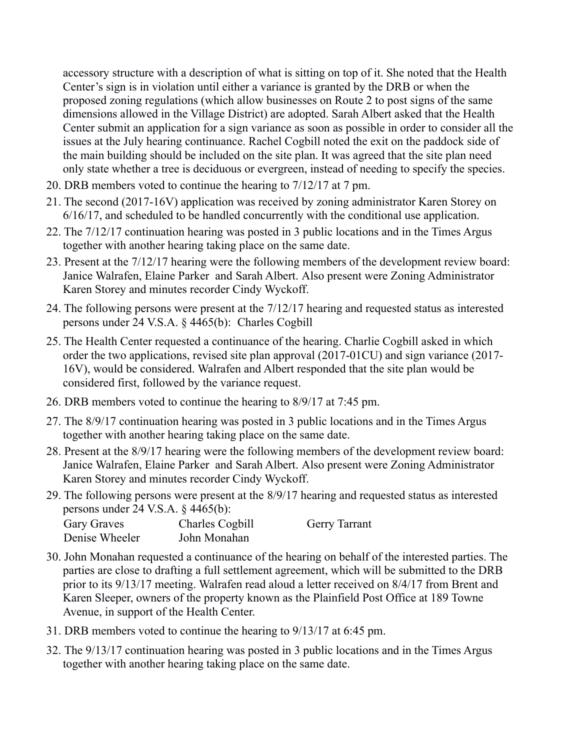accessory structure with a description of what is sitting on top of it. She noted that the Health Center's sign is in violation until either a variance is granted by the DRB or when the proposed zoning regulations (which allow businesses on Route 2 to post signs of the same dimensions allowed in the Village District) are adopted. Sarah Albert asked that the Health Center submit an application for a sign variance as soon as possible in order to consider all the issues at the July hearing continuance. Rachel Cogbill noted the exit on the paddock side of the main building should be included on the site plan. It was agreed that the site plan need only state whether a tree is deciduous or evergreen, instead of needing to specify the species.

- 20. DRB members voted to continue the hearing to 7/12/17 at 7 pm.
- 21. The second (2017-16V) application was received by zoning administrator Karen Storey on 6/16/17, and scheduled to be handled concurrently with the conditional use application.
- 22. The 7/12/17 continuation hearing was posted in 3 public locations and in the Times Argus together with another hearing taking place on the same date.
- 23. Present at the 7/12/17 hearing were the following members of the development review board: Janice Walrafen, Elaine Parker and Sarah Albert. Also present were Zoning Administrator Karen Storey and minutes recorder Cindy Wyckoff.
- 24. The following persons were present at the 7/12/17 hearing and requested status as interested persons under 24 V.S.A. § 4465(b): Charles Cogbill
- 25. The Health Center requested a continuance of the hearing. Charlie Cogbill asked in which order the two applications, revised site plan approval (2017-01CU) and sign variance (2017- 16V), would be considered. Walrafen and Albert responded that the site plan would be considered first, followed by the variance request.
- 26. DRB members voted to continue the hearing to 8/9/17 at 7:45 pm.
- 27. The 8/9/17 continuation hearing was posted in 3 public locations and in the Times Argus together with another hearing taking place on the same date.
- 28. Present at the 8/9/17 hearing were the following members of the development review board: Janice Walrafen, Elaine Parker and Sarah Albert. Also present were Zoning Administrator Karen Storey and minutes recorder Cindy Wyckoff.
- 29. The following persons were present at the 8/9/17 hearing and requested status as interested persons under 24 V.S.A. § 4465(b):

| Gary Graves    | <b>Charles Cogbill</b> | Gerry Tarrant |
|----------------|------------------------|---------------|
| Denise Wheeler | John Monahan           |               |

- 30. John Monahan requested a continuance of the hearing on behalf of the interested parties. The parties are close to drafting a full settlement agreement, which will be submitted to the DRB prior to its 9/13/17 meeting. Walrafen read aloud a letter received on 8/4/17 from Brent and Karen Sleeper, owners of the property known as the Plainfield Post Office at 189 Towne Avenue, in support of the Health Center.
- 31. DRB members voted to continue the hearing to 9/13/17 at 6:45 pm.
- 32. The 9/13/17 continuation hearing was posted in 3 public locations and in the Times Argus together with another hearing taking place on the same date.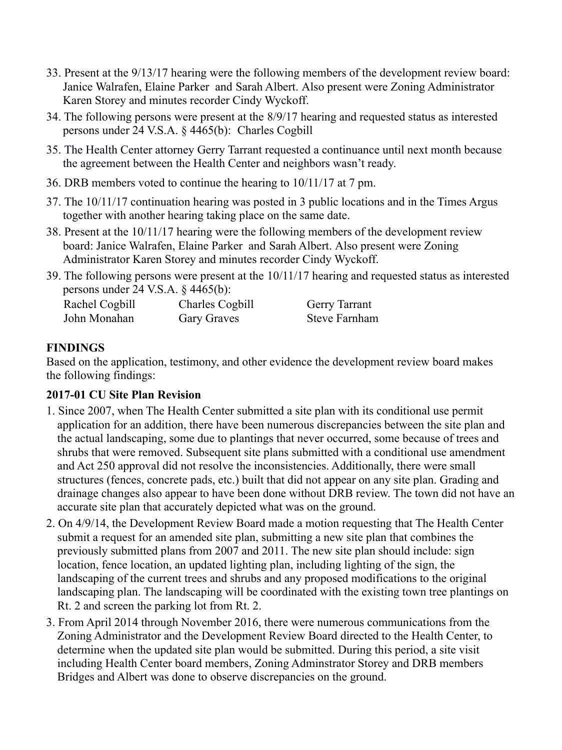- 33. Present at the 9/13/17 hearing were the following members of the development review board: Janice Walrafen, Elaine Parker and Sarah Albert. Also present were Zoning Administrator Karen Storey and minutes recorder Cindy Wyckoff.
- 34. The following persons were present at the 8/9/17 hearing and requested status as interested persons under 24 V.S.A. § 4465(b): Charles Cogbill
- 35. The Health Center attorney Gerry Tarrant requested a continuance until next month because the agreement between the Health Center and neighbors wasn't ready.
- 36. DRB members voted to continue the hearing to 10/11/17 at 7 pm.
- 37. The 10/11/17 continuation hearing was posted in 3 public locations and in the Times Argus together with another hearing taking place on the same date.
- 38. Present at the 10/11/17 hearing were the following members of the development review board: Janice Walrafen, Elaine Parker and Sarah Albert. Also present were Zoning Administrator Karen Storey and minutes recorder Cindy Wyckoff.
- 39. The following persons were present at the 10/11/17 hearing and requested status as interested persons under 24 V.S.A. § 4465(b):

| Rachel Cogbill | <b>Charles Cogbill</b> | Gerry Tarrant        |
|----------------|------------------------|----------------------|
| John Monahan   | <b>Gary Graves</b>     | <b>Steve Farnham</b> |

# **FINDINGS**

Based on the application, testimony, and other evidence the development review board makes the following findings:

# **2017-01 CU Site Plan Revision**

- 1. Since 2007, when The Health Center submitted a site plan with its conditional use permit application for an addition, there have been numerous discrepancies between the site plan and the actual landscaping, some due to plantings that never occurred, some because of trees and shrubs that were removed. Subsequent site plans submitted with a conditional use amendment and Act 250 approval did not resolve the inconsistencies. Additionally, there were small structures (fences, concrete pads, etc.) built that did not appear on any site plan. Grading and drainage changes also appear to have been done without DRB review. The town did not have an accurate site plan that accurately depicted what was on the ground.
- 2. On 4/9/14, the Development Review Board made a motion requesting that The Health Center submit a request for an amended site plan, submitting a new site plan that combines the previously submitted plans from 2007 and 2011. The new site plan should include: sign location, fence location, an updated lighting plan, including lighting of the sign, the landscaping of the current trees and shrubs and any proposed modifications to the original landscaping plan. The landscaping will be coordinated with the existing town tree plantings on Rt. 2 and screen the parking lot from Rt. 2.
- 3. From April 2014 through November 2016, there were numerous communications from the Zoning Administrator and the Development Review Board directed to the Health Center, to determine when the updated site plan would be submitted. During this period, a site visit including Health Center board members, Zoning Adminstrator Storey and DRB members Bridges and Albert was done to observe discrepancies on the ground.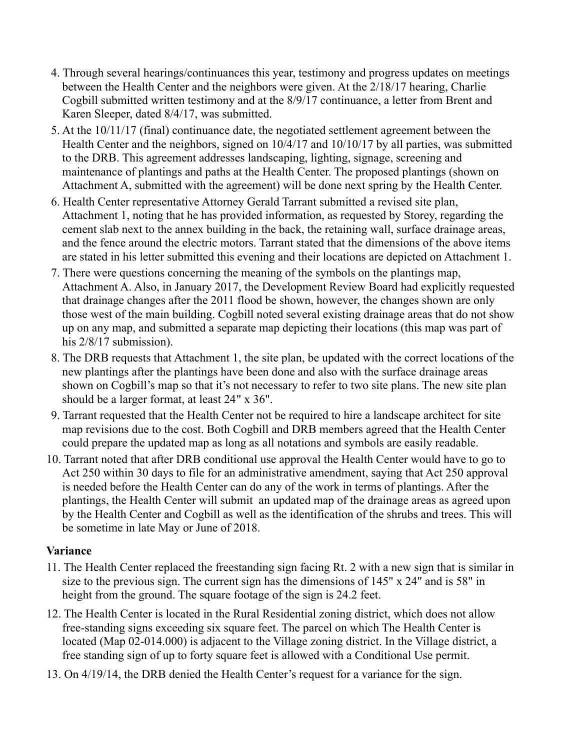- 4. Through several hearings/continuances this year, testimony and progress updates on meetings between the Health Center and the neighbors were given. At the 2/18/17 hearing, Charlie Cogbill submitted written testimony and at the 8/9/17 continuance, a letter from Brent and Karen Sleeper, dated 8/4/17, was submitted.
- 5. At the 10/11/17 (final) continuance date, the negotiated settlement agreement between the Health Center and the neighbors, signed on 10/4/17 and 10/10/17 by all parties, was submitted to the DRB. This agreement addresses landscaping, lighting, signage, screening and maintenance of plantings and paths at the Health Center. The proposed plantings (shown on Attachment A, submitted with the agreement) will be done next spring by the Health Center.
- 6. Health Center representative Attorney Gerald Tarrant submitted a revised site plan, Attachment 1, noting that he has provided information, as requested by Storey, regarding the cement slab next to the annex building in the back, the retaining wall, surface drainage areas, and the fence around the electric motors. Tarrant stated that the dimensions of the above items are stated in his letter submitted this evening and their locations are depicted on Attachment 1.
- 7. There were questions concerning the meaning of the symbols on the plantings map, Attachment A. Also, in January 2017, the Development Review Board had explicitly requested that drainage changes after the 2011 flood be shown, however, the changes shown are only those west of the main building. Cogbill noted several existing drainage areas that do not show up on any map, and submitted a separate map depicting their locations (this map was part of his  $2/8/17$  submission).
- 8. The DRB requests that Attachment 1, the site plan, be updated with the correct locations of the new plantings after the plantings have been done and also with the surface drainage areas shown on Cogbill's map so that it's not necessary to refer to two site plans. The new site plan should be a larger format, at least 24" x 36".
- 9. Tarrant requested that the Health Center not be required to hire a landscape architect for site map revisions due to the cost. Both Cogbill and DRB members agreed that the Health Center could prepare the updated map as long as all notations and symbols are easily readable.
- 10. Tarrant noted that after DRB conditional use approval the Health Center would have to go to Act 250 within 30 days to file for an administrative amendment, saying that Act 250 approval is needed before the Health Center can do any of the work in terms of plantings. After the plantings, the Health Center will submit an updated map of the drainage areas as agreed upon by the Health Center and Cogbill as well as the identification of the shrubs and trees. This will be sometime in late May or June of 2018.

# **Variance**

- 11. The Health Center replaced the freestanding sign facing Rt. 2 with a new sign that is similar in size to the previous sign. The current sign has the dimensions of 145" x 24" and is 58" in height from the ground. The square footage of the sign is 24.2 feet.
- 12. The Health Center is located in the Rural Residential zoning district, which does not allow free-standing signs exceeding six square feet. The parcel on which The Health Center is located (Map 02-014.000) is adjacent to the Village zoning district. In the Village district, a free standing sign of up to forty square feet is allowed with a Conditional Use permit.
- 13. On 4/19/14, the DRB denied the Health Center's request for a variance for the sign.